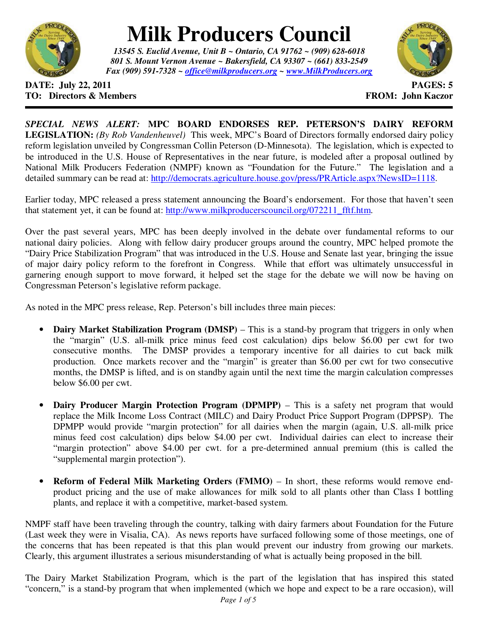

## **Milk Producers Council**

*13545 S. Euclid Avenue, Unit B ~ Ontario, CA 91762 ~ (909) 628-6018 801 S. Mount Vernon Avenue ~ Bakersfield, CA 93307 ~ (661) 833-2549 Fax (909) 591-7328 ~ office@milkproducers.org ~ www.MilkProducers.org*



## **DATE: July 22, 2011 PAGES: 5 TO: Directors & Members TO: Piccore All Members FROM: John Kaczor**

*SPECIAL NEWS ALERT:* **MPC BOARD ENDORSES REP. PETERSON'S DAIRY REFORM LEGISLATION:** *(By Rob Vandenheuvel)* This week, MPC's Board of Directors formally endorsed dairy policy reform legislation unveiled by Congressman Collin Peterson (D-Minnesota). The legislation, which is expected to be introduced in the U.S. House of Representatives in the near future, is modeled after a proposal outlined by National Milk Producers Federation (NMPF) known as "Foundation for the Future." The legislation and a detailed summary can be read at: http://democrats.agriculture.house.gov/press/PRArticle.aspx?NewsID=1118.

Earlier today, MPC released a press statement announcing the Board's endorsement. For those that haven't seen that statement yet, it can be found at: http://www.milkproducerscouncil.org/072211 fftf.htm.

Over the past several years, MPC has been deeply involved in the debate over fundamental reforms to our national dairy policies. Along with fellow dairy producer groups around the country, MPC helped promote the "Dairy Price Stabilization Program" that was introduced in the U.S. House and Senate last year, bringing the issue of major dairy policy reform to the forefront in Congress. While that effort was ultimately unsuccessful in garnering enough support to move forward, it helped set the stage for the debate we will now be having on Congressman Peterson's legislative reform package.

As noted in the MPC press release, Rep. Peterson's bill includes three main pieces:

- **Dairy Market Stabilization Program (DMSP)** This is a stand-by program that triggers in only when the "margin" (U.S. all-milk price minus feed cost calculation) dips below \$6.00 per cwt for two consecutive months. The DMSP provides a temporary incentive for all dairies to cut back milk production. Once markets recover and the "margin" is greater than \$6.00 per cwt for two consecutive months, the DMSP is lifted, and is on standby again until the next time the margin calculation compresses below \$6.00 per cwt.
- **Dairy Producer Margin Protection Program (DPMPP)** This is a safety net program that would replace the Milk Income Loss Contract (MILC) and Dairy Product Price Support Program (DPPSP). The DPMPP would provide "margin protection" for all dairies when the margin (again, U.S. all-milk price minus feed cost calculation) dips below \$4.00 per cwt. Individual dairies can elect to increase their "margin protection" above \$4.00 per cwt. for a pre-determined annual premium (this is called the "supplemental margin protection").
- **Reform of Federal Milk Marketing Orders (FMMO)** In short, these reforms would remove endproduct pricing and the use of make allowances for milk sold to all plants other than Class I bottling plants, and replace it with a competitive, market-based system.

NMPF staff have been traveling through the country, talking with dairy farmers about Foundation for the Future (Last week they were in Visalia, CA). As news reports have surfaced following some of those meetings, one of the concerns that has been repeated is that this plan would prevent our industry from growing our markets. Clearly, this argument illustrates a serious misunderstanding of what is actually being proposed in the bill.

The Dairy Market Stabilization Program, which is the part of the legislation that has inspired this stated "concern," is a stand-by program that when implemented (which we hope and expect to be a rare occasion), will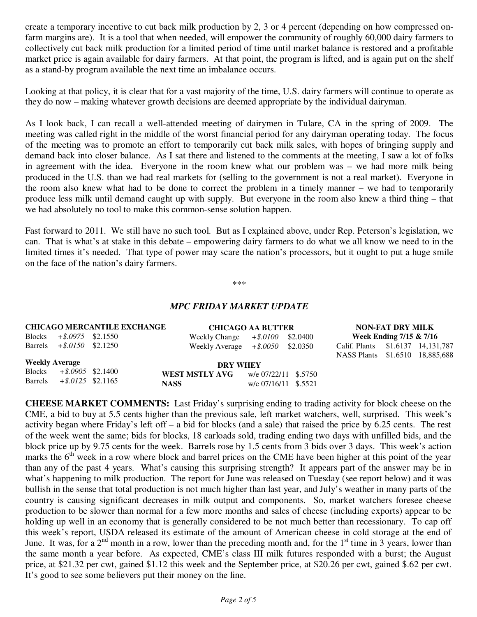create a temporary incentive to cut back milk production by 2, 3 or 4 percent (depending on how compressed onfarm margins are). It is a tool that when needed, will empower the community of roughly 60,000 dairy farmers to collectively cut back milk production for a limited period of time until market balance is restored and a profitable market price is again available for dairy farmers. At that point, the program is lifted, and is again put on the shelf as a stand-by program available the next time an imbalance occurs.

Looking at that policy, it is clear that for a vast majority of the time, U.S. dairy farmers will continue to operate as they do now – making whatever growth decisions are deemed appropriate by the individual dairyman.

As I look back, I can recall a well-attended meeting of dairymen in Tulare, CA in the spring of 2009. The meeting was called right in the middle of the worst financial period for any dairyman operating today. The focus of the meeting was to promote an effort to temporarily cut back milk sales, with hopes of bringing supply and demand back into closer balance. As I sat there and listened to the comments at the meeting, I saw a lot of folks in agreement with the idea. Everyone in the room knew what our problem was – we had more milk being produced in the U.S. than we had real markets for (selling to the government is not a real market). Everyone in the room also knew what had to be done to correct the problem in a timely manner – we had to temporarily produce less milk until demand caught up with supply. But everyone in the room also knew a third thing – that we had absolutely no tool to make this common-sense solution happen.

Fast forward to 2011. We still have no such tool. But as I explained above, under Rep. Peterson's legislation, we can. That is what's at stake in this debate – empowering dairy farmers to do what we all know we need to in the limited times it's needed. That type of power may scare the nation's processors, but it ought to put a huge smile on the face of the nation's dairy farmers.

\*\*\*

## *MPC FRIDAY MARKET UPDATE*

|                       |                              | <b>CHICAGO MERCANTILE EXCHANGE</b> |                                     | <b>CHICAGO AA BUTTER</b> |  |                                   | <b>NON-FAT DRY MILK</b> |  |  |
|-----------------------|------------------------------|------------------------------------|-------------------------------------|--------------------------|--|-----------------------------------|-------------------------|--|--|
|                       | Blocks $+$ \$.0975 \$2.1550  |                                    | Weekly Change $+$ \$.0100 \$2.0400  |                          |  | Week Ending 7/15 & 7/16           |                         |  |  |
|                       | Barrels $+$ \$.0150 \$2.1250 |                                    | Weekly Average $+$ \$.0050 \$2.0350 |                          |  | Calif. Plants \$1.6137 14,131,787 |                         |  |  |
|                       |                              |                                    |                                     |                          |  | NASS Plants \$1.6510 18,885,688   |                         |  |  |
| <b>Weekly Average</b> |                              |                                    |                                     | <b>DRY WHEY</b>          |  |                                   |                         |  |  |
|                       | Blocks $+$ \$.0905 \$2.1400  |                                    | WEST MSTLY AVG                      | w/e 07/22/11 \$.5750     |  |                                   |                         |  |  |
|                       | Barrels $+$ \$.0125 \$2.1165 |                                    | <b>NASS</b>                         | w/e 07/16/11 \$.5521     |  |                                   |                         |  |  |

**CHEESE MARKET COMMENTS:** Last Friday's surprising ending to trading activity for block cheese on the CME, a bid to buy at 5.5 cents higher than the previous sale, left market watchers, well, surprised. This week's activity began where Friday's left off – a bid for blocks (and a sale) that raised the price by 6.25 cents. The rest of the week went the same; bids for blocks, 18 carloads sold, trading ending two days with unfilled bids, and the block price up by 9.75 cents for the week. Barrels rose by 1.5 cents from 3 bids over 3 days. This week's action marks the  $6<sup>th</sup>$  week in a row where block and barrel prices on the CME have been higher at this point of the year than any of the past 4 years. What's causing this surprising strength? It appears part of the answer may be in what's happening to milk production. The report for June was released on Tuesday (see report below) and it was bullish in the sense that total production is not much higher than last year, and July's weather in many parts of the country is causing significant decreases in milk output and components. So, market watchers foresee cheese production to be slower than normal for a few more months and sales of cheese (including exports) appear to be holding up well in an economy that is generally considered to be not much better than recessionary. To cap off this week's report, USDA released its estimate of the amount of American cheese in cold storage at the end of June. It was, for a  $2<sup>nd</sup>$  month in a row, lower than the preceding month and, for the  $1<sup>st</sup>$  time in 3 years, lower than the same month a year before. As expected, CME's class III milk futures responded with a burst; the August price, at \$21.32 per cwt, gained \$1.12 this week and the September price, at \$20.26 per cwt, gained \$.62 per cwt. It's good to see some believers put their money on the line.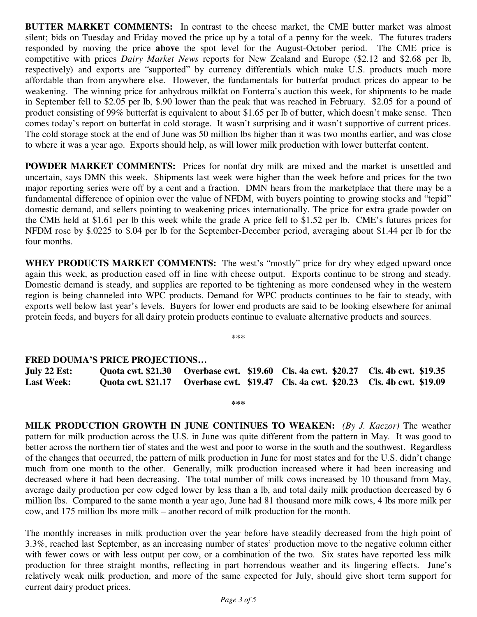**BUTTER MARKET COMMENTS:** In contrast to the cheese market, the CME butter market was almost silent; bids on Tuesday and Friday moved the price up by a total of a penny for the week. The futures traders responded by moving the price **above** the spot level for the August-October period. The CME price is competitive with prices *Dairy Market News* reports for New Zealand and Europe (\$2.12 and \$2.68 per lb, respectively) and exports are "supported" by currency differentials which make U.S. products much more affordable than from anywhere else. However, the fundamentals for butterfat product prices do appear to be weakening. The winning price for anhydrous milkfat on Fonterra's auction this week, for shipments to be made in September fell to \$2.05 per lb, \$.90 lower than the peak that was reached in February. \$2.05 for a pound of product consisting of 99% butterfat is equivalent to about \$1.65 per lb of butter, which doesn't make sense. Then comes today's report on butterfat in cold storage. It wasn't surprising and it wasn't supportive of current prices. The cold storage stock at the end of June was 50 million lbs higher than it was two months earlier, and was close to where it was a year ago.Exports should help, as will lower milk production with lower butterfat content.

**POWDER MARKET COMMENTS:** Prices for nonfat dry milk are mixed and the market is unsettled and uncertain, says DMN this week. Shipments last week were higher than the week before and prices for the two major reporting series were off by a cent and a fraction. DMN hears from the marketplace that there may be a fundamental difference of opinion over the value of NFDM, with buyers pointing to growing stocks and "tepid" domestic demand, and sellers pointing to weakening prices internationally. The price for extra grade powder on the CME held at \$1.61 per lb this week while the grade A price fell to \$1.52 per lb. CME's futures prices for NFDM rose by \$.0225 to \$.04 per lb for the September-December period, averaging about \$1.44 per lb for the four months.

**WHEY PRODUCTS MARKET COMMENTS:** The west's "mostly" price for dry whey edged upward once again this week, as production eased off in line with cheese output. Exports continue to be strong and steady. Domestic demand is steady, and supplies are reported to be tightening as more condensed whey in the western region is being channeled into WPC products. Demand for WPC products continues to be fair to steady, with exports well below last year's levels. Buyers for lower end products are said to be looking elsewhere for animal protein feeds, and buyers for all dairy protein products continue to evaluate alternative products and sources.

\*\*\*

## **FRED DOUMA'S PRICE PROJECTIONS…**

**July 22 Est: Quota cwt. \$21.30 Overbase cwt. \$19.60 Cls. 4a cwt. \$20.27 Cls. 4b cwt. \$19.35 Last Week: Quota cwt. \$21.17 Overbase cwt. \$19.47 Cls. 4a cwt. \$20.23 Cls. 4b cwt. \$19.09** 

**\*\*\*** 

**MILK PRODUCTION GROWTH IN JUNE CONTINUES TO WEAKEN:** *(By J. Kaczor)* The weather pattern for milk production across the U.S. in June was quite different from the pattern in May. It was good to better across the northern tier of states and the west and poor to worse in the south and the southwest. Regardless of the changes that occurred, the pattern of milk production in June for most states and for the U.S. didn't change much from one month to the other. Generally, milk production increased where it had been increasing and decreased where it had been decreasing. The total number of milk cows increased by 10 thousand from May, average daily production per cow edged lower by less than a lb, and total daily milk production decreased by 6 million lbs. Compared to the same month a year ago, June had 81 thousand more milk cows, 4 lbs more milk per cow, and 175 million lbs more milk – another record of milk production for the month.

The monthly increases in milk production over the year before have steadily decreased from the high point of 3.3%, reached last September, as an increasing number of states' production move to the negative column either with fewer cows or with less output per cow, or a combination of the two. Six states have reported less milk production for three straight months, reflecting in part horrendous weather and its lingering effects. June's relatively weak milk production, and more of the same expected for July, should give short term support for current dairy product prices.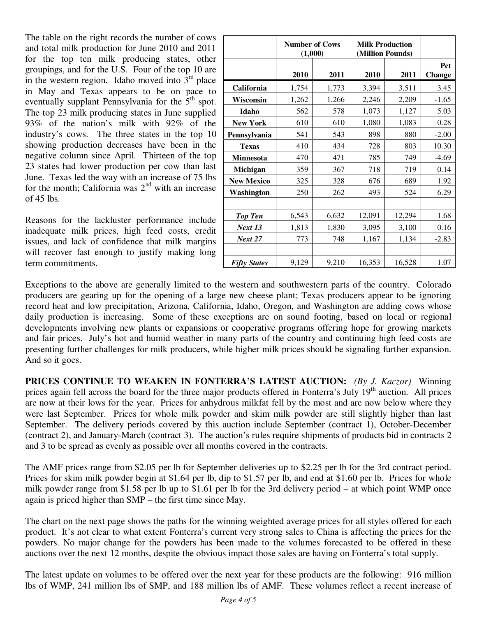The table on the right records the number of cows and total milk production for June 2010 and 2011 for the top ten milk producing states, other groupings, and for the U.S. Four of the top 10 are in the western region. Idaho moved into  $3<sup>rd</sup>$  place in May and Texas appears to be on pace to eventually supplant Pennsylvania for the  $5<sup>th</sup>$  spot. The top 23 milk producing states in June supplied 93% of the nation's milk with 92% of the industry's cows. The three states in the top 10 showing production decreases have been in the negative column since April. Thirteen of the top 23 states had lower production per cow than last June. Texas led the way with an increase of 75 lbs for the month; California was  $2<sup>nd</sup>$  with an increase of  $45$  lbs.

Reasons for the lackluster performance include inadequate milk prices, high feed costs, credit issues, and lack of confidence that milk margins will recover fast enough to justify making long term commitments.

|                     | (1,000) | <b>Number of Cows</b> | <b>Milk Production</b><br>(Million Pounds) |        |                      |
|---------------------|---------|-----------------------|--------------------------------------------|--------|----------------------|
|                     | 2010    | 2011                  | 2010                                       | 2011   | Pct<br><b>Change</b> |
| California          | 1,754   | 1,773                 | 3,394                                      | 3,511  | 3.45                 |
| Wisconsin           | 1,262   | 1,266                 | 2,246                                      | 2,209  | $-1.65$              |
| Idaho               | 562     | 578                   | 1,073                                      | 1,127  | 5.03                 |
| <b>New York</b>     | 610     | 610                   | 1,080                                      | 1,083  | 0.28                 |
| Pennsylvania        | 541     | 543                   | 898                                        | 880    | $-2.00$              |
| <b>Texas</b>        | 410     | 434                   | 728                                        | 803    | 10.30                |
| <b>Minnesota</b>    | 470     | 471                   | 785                                        | 749    | $-4.69$              |
| Michigan            | 359     | 367                   | 718                                        | 719    | 0.14                 |
| <b>New Mexico</b>   | 325     | 328                   | 676                                        | 689    | 1.92                 |
| Washington          | 250     | 262                   | 493                                        | 524    | 6.29                 |
|                     |         |                       |                                            |        |                      |
| <b>Top Ten</b>      | 6,543   | 6,632                 | 12,091                                     | 12,294 | 1.68                 |
| Next 13             | 1,813   | 1,830                 | 3,095                                      | 3,100  | 0.16                 |
| <b>Next 27</b>      | 773     | 748                   | 1,167                                      | 1,134  | $-2.83$              |
|                     |         |                       |                                            |        |                      |
| <b>Fifty States</b> | 9,129   | 9,210                 | 16,353                                     | 16,528 | 1.07                 |

Exceptions to the above are generally limited to the western and southwestern parts of the country. Colorado producers are gearing up for the opening of a large new cheese plant; Texas producers appear to be ignoring record heat and low precipitation, Arizona, California, Idaho, Oregon, and Washington are adding cows whose daily production is increasing. Some of these exceptions are on sound footing, based on local or regional developments involving new plants or expansions or cooperative programs offering hope for growing markets and fair prices. July's hot and humid weather in many parts of the country and continuing high feed costs are presenting further challenges for milk producers, while higher milk prices should be signaling further expansion. And so it goes.

**PRICES CONTINUE TO WEAKEN IN FONTERRA'S LATEST AUCTION:** *(By J. Kaczor)* Winning prices again fell across the board for the three major products offered in Fonterra's July  $19<sup>th</sup>$  auction. All prices are now at their lows for the year. Prices for anhydrous milkfat fell by the most and are now below where they were last September. Prices for whole milk powder and skim milk powder are still slightly higher than last September. The delivery periods covered by this auction include September (contract 1), October-December (contract 2), and January-March (contract 3). The auction's rules require shipments of products bid in contracts 2 and 3 to be spread as evenly as possible over all months covered in the contracts.

The AMF prices range from \$2.05 per lb for September deliveries up to \$2.25 per lb for the 3rd contract period. Prices for skim milk powder begin at \$1.64 per lb, dip to \$1.57 per lb, and end at \$1.60 per lb. Prices for whole milk powder range from \$1.58 per lb up to \$1.61 per lb for the 3rd delivery period – at which point WMP once again is priced higher than SMP – the first time since May.

The chart on the next page shows the paths for the winning weighted average prices for all styles offered for each product. It's not clear to what extent Fonterra's current very strong sales to China is affecting the prices for the powders. No major change for the powders has been made to the volumes forecasted to be offered in these auctions over the next 12 months, despite the obvious impact those sales are having on Fonterra's total supply.

The latest update on volumes to be offered over the next year for these products are the following: 916 million lbs of WMP, 241 million lbs of SMP, and 188 million lbs of AMF. These volumes reflect a recent increase of